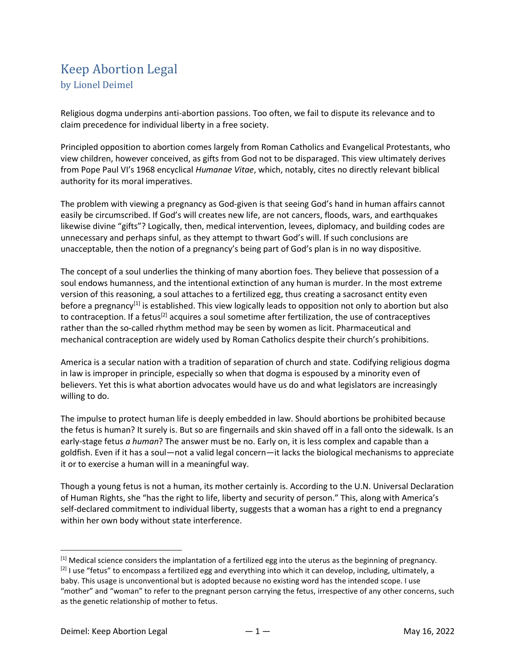## Keep Abortion Legal by Lionel Deimel

Religious dogma underpins anti-abortion passions. Too often, we fail to dispute its relevance and to claim precedence for individual liberty in a free society.

Principled opposition to abortion comes largely from Roman Catholics and Evangelical Protestants, who view children, however conceived, as gifts from God not to be disparaged. This view ultimately derives from Pope Paul VI's 1968 encyclical Humanae Vitae, which, notably, cites no directly relevant biblical authority for its moral imperatives.

The problem with viewing a pregnancy as God-given is that seeing God's hand in human affairs cannot easily be circumscribed. If God's will creates new life, are not cancers, floods, wars, and earthquakes likewise divine "gifts"? Logically, then, medical intervention, levees, diplomacy, and building codes are unnecessary and perhaps sinful, as they attempt to thwart God's will. If such conclusions are unacceptable, then the notion of a pregnancy's being part of God's plan is in no way dispositive.

The concept of a soul underlies the thinking of many abortion foes. They believe that possession of a soul endows humanness, and the intentional extinction of any human is murder. In the most extreme version of this reasoning, a soul attaches to a fertilized egg, thus creating a sacrosanct entity even before a pregnancy<sup>[1]</sup> is established. This view logically leads to opposition not only to abortion but also to contraception. If a fetus<sup>[2]</sup> acquires a soul sometime after fertilization, the use of contraceptives rather than the so-called rhythm method may be seen by women as licit. Pharmaceutical and mechanical contraception are widely used by Roman Catholics despite their church's prohibitions.

America is a secular nation with a tradition of separation of church and state. Codifying religious dogma in law is improper in principle, especially so when that dogma is espoused by a minority even of believers. Yet this is what abortion advocates would have us do and what legislators are increasingly willing to do.

The impulse to protect human life is deeply embedded in law. Should abortions be prohibited because the fetus is human? It surely is. But so are fingernails and skin shaved off in a fall onto the sidewalk. Is an early-stage fetus a human? The answer must be no. Early on, it is less complex and capable than a goldfish. Even if it has a soul—not a valid legal concern—it lacks the biological mechanisms to appreciate it or to exercise a human will in a meaningful way.

Though a young fetus is not a human, its mother certainly is. According to the U.N. Universal Declaration of Human Rights, she "has the right to life, liberty and security of person." This, along with America's self-declared commitment to individual liberty, suggests that a woman has a right to end a pregnancy within her own body without state interference.

 $<sup>[1]</sup>$  Medical science considers the implantation of a fertilized egg into the uterus as the beginning of pregnancy.</sup> <sup>[2]</sup> I use "fetus" to encompass a fertilized egg and everything into which it can develop, including, ultimately, a baby. This usage is unconventional but is adopted because no existing word has the intended scope. I use "mother" and "woman" to refer to the pregnant person carrying the fetus, irrespective of any other concerns, such as the genetic relationship of mother to fetus.